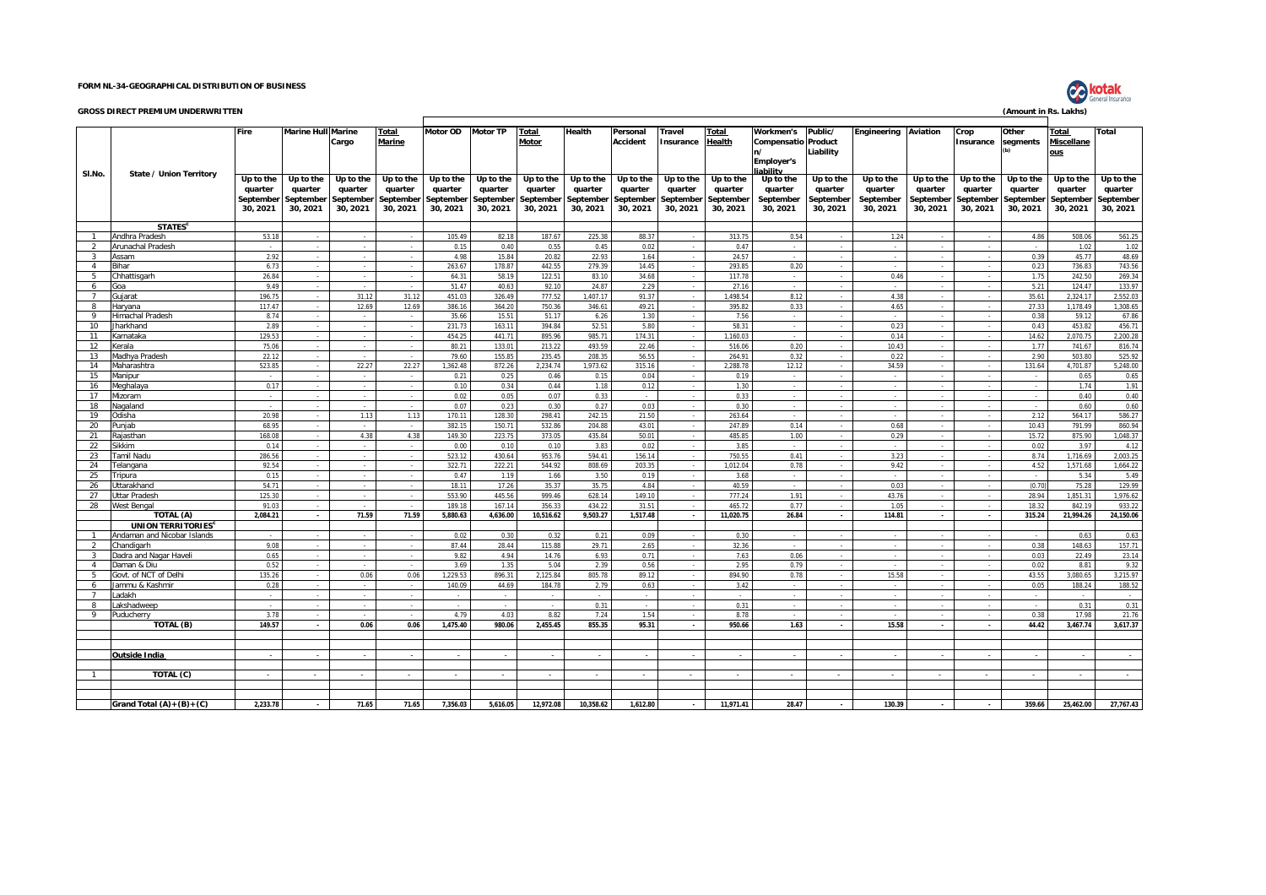## **FORM NL-34-GEOGRAPHICAL DISTRIBUTION OF BUSINESS**

## **GROSS DIRECT PREMIUM UNDERWRITTEN (Amount in Rs. Lakhs)**